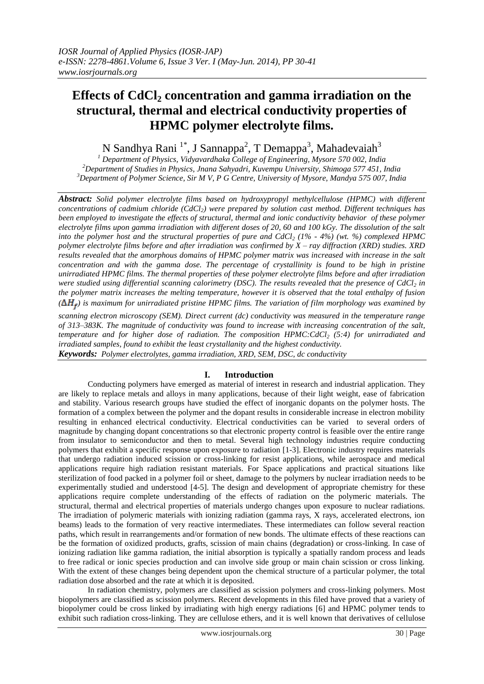# **Effects of CdCl<sup>2</sup> concentration and gamma irradiation on the structural, thermal and electrical conductivity properties of HPMC polymer electrolyte films.**

N Sandhya Rani<sup>1\*</sup>, J Sannappa<sup>2</sup>, T Demappa<sup>3</sup>, Mahadevaiah<sup>3</sup>

*<sup>1</sup> Department of Physics, Vidyavardhaka College of Engineering, Mysore 570 002, India <sup>2</sup>Department of Studies in Physics, Jnana Sahyadri, Kuvempu University, Shimoga 577 451, India <sup>3</sup>Department of Polymer Science, Sir M V, P G Centre, University of Mysore, Mandya 575 007, India*

*Abstract: Solid polymer electrolyte films based on hydroxypropyl methylcellulose (HPMC) with different concentrations of cadmium chloride (CdCl2) were prepared by solution cast method. Different techniques has been employed to investigate the effects of structural, thermal and ionic conductivity behavior of these polymer electrolyte films upon gamma irradiation with different doses of 20, 60 and 100 kGy. The dissolution of the salt into the polymer host and the structural properties of pure and CdCl<sup>2</sup> (1% - 4%) (wt. %) complexed HPMC polymer electrolyte films before and after irradiation was confirmed by X – ray diffraction (XRD) studies. XRD results revealed that the amorphous domains of HPMC polymer matrix was increased with increase in the salt concentration and with the gamma dose. The percentage of crystallinity is found to be high in pristine unirradiated HPMC films. The thermal properties of these polymer electrolyte films before and after irradiation were studied using differential scanning calorimetry (DSC). The results revealed that the presence of CdCl<sup>2</sup> in the polymer matrix increases the melting temperature, however it is observed that the total enthalpy of fusion*   $(\Delta H_{\tau})$  is maximum for unirradiated pristine HPMC films. The variation of film morphology was examined by

*scanning electron microscopy (SEM). Direct current (dc) conductivity was measured in the temperature range of 313–383K. The magnitude of conductivity was found to increase with increasing concentration of the salt, temperature and for higher dose of radiation. The composition HPMC:CdCl<sup>2</sup> (5:4) for unirradiated and irradiated samples, found to exhibit the least crystallanity and the highest conductivity. Keywords: Polymer electrolytes, gamma irradiation, XRD, SEM, DSC, dc conductivity*

# **I. Introduction**

Conducting polymers have emerged as material of interest in research and industrial application. They are likely to replace metals and alloys in many applications, because of their light weight, ease of fabrication and stability. Various research groups have studied the effect of inorganic dopants on the polymer hosts. The formation of a complex between the polymer and the dopant results in considerable increase in electron mobility resulting in enhanced electrical conductivity. Electrical conductivities can be varied to several orders of magnitude by changing dopant concentrations so that electronic property control is feasible over the entire range from insulator to semiconductor and then to metal. Several high technology industries require conducting polymers that exhibit a specific response upon exposure to radiation [1-3]. Electronic industry requires materials that undergo radiation induced scission or cross-linking for resist applications, while aerospace and medical applications require high radiation resistant materials. For Space applications and practical situations like sterilization of food packed in a polymer foil or sheet, damage to the polymers by nuclear irradiation needs to be experimentally studied and understood [4-5]. The design and development of appropriate chemistry for these applications require complete understanding of the effects of radiation on the polymeric materials. The structural, thermal and electrical properties of materials undergo changes upon exposure to nuclear radiations. The irradiation of polymeric materials with ionizing radiation (gamma rays, X rays, accelerated electrons, ion beams) leads to the formation of very reactive intermediates. These intermediates can follow several reaction paths, which result in rearrangements and/or formation of new bonds. The ultimate effects of these reactions can be the formation of oxidized products, grafts, scission of main chains (degradation) or cross-linking. In case of ionizing radiation like gamma radiation, the initial absorption is typically a spatially random process and leads to free radical or ionic species production and can involve side group or main chain scission or cross linking. With the extent of these changes being dependent upon the chemical structure of a particular polymer, the total radiation dose absorbed and the rate at which it is deposited.

In radiation chemistry, polymers are classified as scission polymers and cross-linking polymers. Most biopolymers are classified as scission polymers. Recent developments in this filed have proved that a variety of biopolymer could be cross linked by irradiating with high energy radiations [6] and HPMC polymer tends to exhibit such radiation cross-linking. They are cellulose ethers, and it is well known that derivatives of cellulose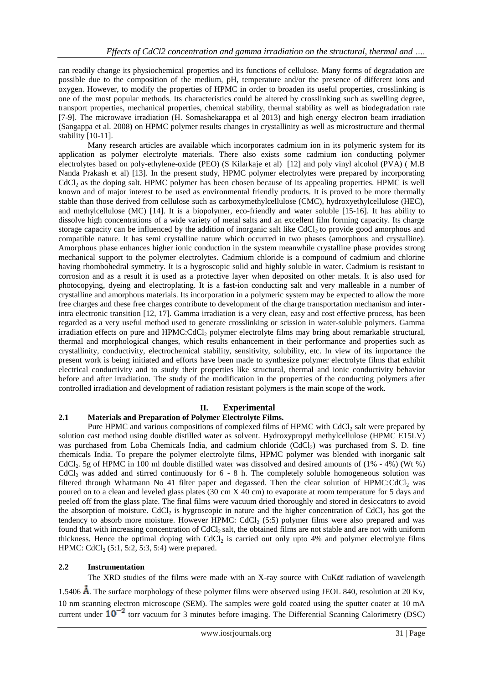can readily change its physiochemical properties and its functions of cellulose. Many forms of degradation are possible due to the composition of the medium, pH, temperature and/or the presence of different ions and oxygen. However, to modify the properties of HPMC in order to broaden its useful properties, crosslinking is one of the most popular methods. Its characteristics could be altered by crosslinking such as swelling degree, transport properties, mechanical properties, chemical stability, thermal stability as well as biodegradation rate [7-9]. The microwave irradiation (H. [Somashekarappa](http://www.tandfonline.com/action/doSearch?action=runSearch&type=advanced&searchType=journal&result=true&prevSearch=%2Bauthorsfield%3A%28Somashekarappa%2C+H%29) et al 2013) and high energy electron beam irradiation (Sangappa et al. 2008) on HPMC polymer results changes in crystallinity as well as microstructure and thermal stability [10-11].

Many research articles are available which incorporates cadmium ion in its polymeric system for its application as polymer electrolyte materials. There also exists some cadmium ion conducting polymer electrolytes based on poly-ethylene-oxide (PEO) (S Kilarkaje et al) [12] and poly vinyl alcohol (PVA) ( M.B Nanda Prakash et al) [13]. In the present study, HPMC polymer electrolytes were prepared by incorporating  $CdCl<sub>2</sub>$  as the doping salt. HPMC polymer has been chosen because of its appealing properties. HPMC is well known and of major interest to be used as environmental friendly products. It is proved to be more thermally stable than those derived from cellulose such as carboxymethylcellulose (CMC), hydroxyethylcellulose (HEC), and methylcellulose (MC) [14]. It is a biopolymer, eco-friendly and water soluble [15-16]. It has ability to dissolve high concentrations of a wide variety of metal salts and an excellent film forming capacity. Its charge storage capacity can be influenced by the addition of inorganic salt like CdCl<sub>2</sub> to provide good amorphous and compatible nature. It has semi crystalline nature which occurred in two phases (amorphous and crystalline). Amorphous phase enhances higher ionic conduction in the system meanwhile crystalline phase provides strong mechanical support to the polymer electrolytes. Cadmium chloride is a compound of cadmium and chlorine having rhombohedral symmetry. It is a hygroscopic solid and highly soluble in water. Cadmium is resistant to [corrosion](http://en.wikipedia.org/wiki/Corrosion) and as a result it is used as a protective layer when deposited on other metals. It is also used for [photocopying,](http://en.wikipedia.org/wiki/Photocopying) dyeing and [electroplating.](http://en.wikipedia.org/wiki/Electroplating) It is a fast-ion conducting salt and very malleable in a number of crystalline and amorphous materials. Its incorporation in a polymeric system may be expected to allow the more free charges and these free charges contribute to development of the charge transportation mechanism and interintra electronic transition [12, 17]. Gamma irradiation is a very clean, easy and cost effective process, has been regarded as a very useful method used to generate crosslinking or scission in water-soluble polymers. Gamma irradiation effects on pure and HPMC:CdCl<sup>2</sup> polymer electrolyte films may bring about remarkable structural, thermal and morphological changes, which results enhancement in their performance and properties such as crystallinity, conductivity, electrochemical stability, sensitivity, solubility, etc. In view of its importance the present work is being initiated and efforts have been made to synthesize polymer electrolyte films that exhibit electrical conductivity and to study their properties like structural, thermal and ionic conductivity behavior before and after irradiation. The study of the modification in the properties of the conducting polymers after controlled irradiation and development of radiation resistant polymers is the main scope of the work.

# **II. Experimental**

## **2.1 Materials and Preparation of Polymer Electrolyte Films.**

Pure HPMC and various compositions of complexed films of HPMC with CdCl<sub>2</sub> salt were prepared by solution cast method using double distilled water as solvent. Hydroxypropyl methylcellulose (HPMC E15LV) was purchased from Loba Chemicals India, and cadmium chloride  $(CdCl<sub>2</sub>)$  was purchased from S. D. fine chemicals India. To prepare the polymer electrolyte films, HPMC polymer was blended with inorganic salt CdCl<sub>2</sub>. 5g of HPMC in 100 ml double distilled water was dissolved and desired amounts of  $(1\% - 4\%)$  (Wt  $\%)$  $CdCl<sub>2</sub>$  was added and stirred continuously for 6 - 8 h. The completely soluble homogeneous solution was filtered through Whatmann No 41 filter paper and degassed. Then the clear solution of HPMC:CdCl<sub>2</sub> was poured on to a clean and leveled glass plates (30 cm X 40 cm) to evaporate at room temperature for 5 days and peeled off from the glass plate. The final films were vacuum dried thoroughly and stored in desiccators to avoid the absorption of moisture. CdCl<sub>2</sub> is hygroscopic in nature and the higher concentration of CdCl<sub>2</sub> has got the tendency to absorb more moisture. However HPMC: CdCl<sub>2</sub> (5:5) polymer films were also prepared and was found that with increasing concentration of  $CdCl<sub>2</sub>$  salt, the obtained films are not stable and are not with uniform thickness. Hence the optimal doping with CdCl<sup>2</sup> is carried out only upto 4% and polymer electrolyte films HPMC:  $CdCl<sub>2</sub>$  (5:1, 5:2, 5:3, 5:4) were prepared.

## **2.2 Instrumentation**

The XRD studies of the films were made with an X-ray source with  $CuK\alpha$  radiation of wavelength

1.5406  $\AA$ . The surface morphology of these polymer films were observed using JEOL 840, resolution at 20 Kv, 10 nm scanning electron microscope (SEM). The samples were gold coated using the sputter coater at 10 mA current under  $10^{-2}$  torr vacuum for 3 minutes before imaging. The Differential Scanning Calorimetry (DSC)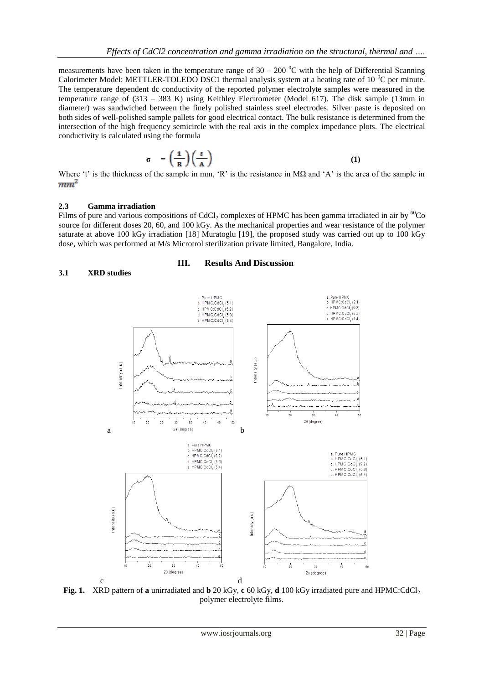measurements have been taken in the temperature range of  $30 - 200$  °C with the help of Differential Scanning Calorimeter Model: METTLER-TOLEDO DSC1 thermal analysis system at a heating rate of 10  $^{\circ}$ C per minute. The temperature dependent dc conductivity of the reported polymer electrolyte samples were measured in the temperature range of (313 – 383 K) using Keithley Electrometer (Model 617). The disk sample (13mm in diameter) was sandwiched between the finely polished stainless steel electrodes. Silver paste is deposited on both sides of well-polished sample pallets for good electrical contact. The bulk resistance is determined from the intersection of the high frequency semicircle with the real axis in the complex impedance plots. The electrical conductivity is calculated using the formula

$$
\sigma = \left(\frac{1}{R}\right)\left(\frac{t}{A}\right) \tag{1}
$$

Where 't' is the thickness of the sample in mm, 'R' is the resistance in M $\Omega$  and 'A' is the area of the sample in  $mm<sup>2</sup>$ 

#### **2.3 Gamma irradiation**

Films of pure and various compositions of CdCl<sub>2</sub> complexes of HPMC has been gamma irradiated in air by  ${}^{60}$ Co source for different doses 20, 60, and 100 kGy. As the mechanical properties and wear resistance of the polymer saturate at above 100 kGy irradiation [18] Muratoglu [19], the proposed study was carried out up to 100 kGy dose, which was performed at M/s Microtrol sterilization private limited, Bangalore, India.

#### **3.1 XRD studies**

#### **III. Results And Discussion**



**Fig. 1.** XRD pattern of **a** unirradiated and **b** 20 kGy, **c** 60 kGy, **d** 100 kGy irradiated pure and HPMC:CdCl<sup>2</sup> polymer electrolyte films.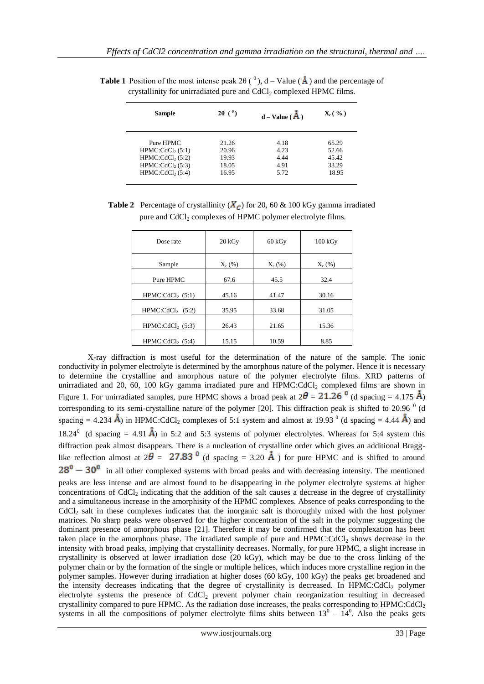| Sample                       | $2\theta$ ( $^0$ ) | $d - Value (A)$ | $\mathbf{X}_{c}$ ( $\%$ ) |
|------------------------------|--------------------|-----------------|---------------------------|
| Pure HPMC                    | 21.26              | 4.18            | 65.29                     |
| HPMC:CdCl <sub>2</sub> (5:1) | 20.96              | 4.23            | 52.66                     |
| HPMC:CdCl <sub>2</sub> (5:2) | 19.93              | 4.44            | 45.42                     |
| HPMC:CdCl <sub>2</sub> (5:3) | 18.05              | 4.91            | 33.29                     |
| HPMC:CdCl <sub>2</sub> (5:4) | 16.95              | 5.72            | 18.95                     |

**Table 1** Position of the most intense peak 2 $\theta$  ( $^0$ ), d – Value ( $\vec{A}$ ) and the percentage of crystallinity for unirradiated pure and  $CdCl<sub>2</sub>$  complexed HPMC films.

| <b>Table 2</b> Percentage of crystallinity ( $X_c$ ) for 20, 60 & 100 kGy gamma irradiated |
|--------------------------------------------------------------------------------------------|
| pure and CdCl <sub>2</sub> complexes of HPMC polymer electrolyte films.                    |

| Dose rate                    | 20 kGv   | 60 kGv   | $100 \text{ kGy}$ |
|------------------------------|----------|----------|-------------------|
| Sample                       | $X_c(%)$ | $X_c(%)$ | $X_c(%)$          |
| Pure HPMC                    | 67.6     | 45.5     | 32.4              |
| HPMC:CdCl <sub>2</sub> (5:1) | 45.16    | 41.47    | 30.16             |
| HPMC:CdCl <sub>2</sub> (5:2) | 35.95    | 33.68    | 31.05             |
| $HPMC:CdCl2$ (5:3)           | 26.43    | 21.65    | 15.36             |
| $HPMC:CdCl2$ (5:4)           | 15.15    | 10.59    | 8.85              |

X-ray diffraction is most useful for the determination of the nature of the sample. The ionic conductivity in polymer electrolyte is determined by the amorphous nature of the polymer. Hence it is necessary to determine the crystalline and amorphous nature of the polymer electrolyte films. XRD patterns of unirradiated and 20, 60, 100 kGy gamma irradiated pure and HPMC:CdCl<sub>2</sub> complexed films are shown in Figure 1. For unirradiated samples, pure HPMC shows a broad peak at  $2\theta = 21.26$  <sup>0</sup> (d spacing = 4.175 Å) corresponding to its semi-crystalline nature of the polymer [20]. This diffraction peak is shifted to 20.96  $^0$  (d spacing = 4.234  $\bf{\AA}$ ) in HPMC:CdCl<sub>2</sub> complexes of 5:1 system and almost at 19.93<sup>0</sup> (d spacing = 4.44  $\bf{\AA}$ ) and 18.24<sup>0</sup> (d spacing = 4.91  $\mathring{A}$ ) in 5:2 and 5:3 systems of polymer electrolytes. Whereas for 5:4 system this diffraction peak almost disappears. There is a nucleation of crystalline order which gives an additional Bragglike reflection almost at  $2\theta = 27.83$ <sup>0</sup> (d spacing = 3.20  $\AA$ ) for pure HPMC and is shifted to around  $128^0 - 30^0$  in all other complexed systems with broad peaks and with decreasing intensity. The mentioned peaks are less intense and are almost found to be disappearing in the polymer electrolyte systems at higher concentrations of  $CdCl<sub>2</sub>$  indicating that the addition of the salt causes a decrease in the degree of crystallinity and a simultaneous increase in the amorphisity of the HPMC complexes. Absence of peaks corresponding to the  $CdCl<sub>2</sub>$  salt in these complexes indicates that the inorganic salt is thoroughly mixed with the host polymer matrices. No sharp peaks were observed for the higher concentration of the salt in the polymer suggesting the dominant presence of amorphous phase [21]. Therefore it may be confirmed that the complexation has been taken place in the amorphous phase. The irradiated sample of pure and  $HPMC:CdCl<sub>2</sub>$  shows decrease in the intensity with broad peaks, implying that crystallinity decreases. Normally, for pure HPMC, a slight increase in crystallinity is observed at lower irradiation dose (20 kGy), which may be due to the cross linking of the polymer chain or by the formation of the single or multiple helices, which induces more crystalline region in the polymer samples. However during irradiation at higher doses (60 kGy, 100 kGy) the peaks get broadened and the intensity decreases indicating that the degree of crystallinity is decreased. In HPMC:CdCl<sub>2</sub> polymer electrolyte systems the presence of CdCl<sub>2</sub> prevent polymer chain reorganization resulting in decreased crystallinity compared to pure HPMC. As the radiation dose increases, the peaks corresponding to HPMC:CdCl<sup>2</sup> systems in all the compositions of polymer electrolyte films shits between  $13^0 - 14^0$ . Also the peaks gets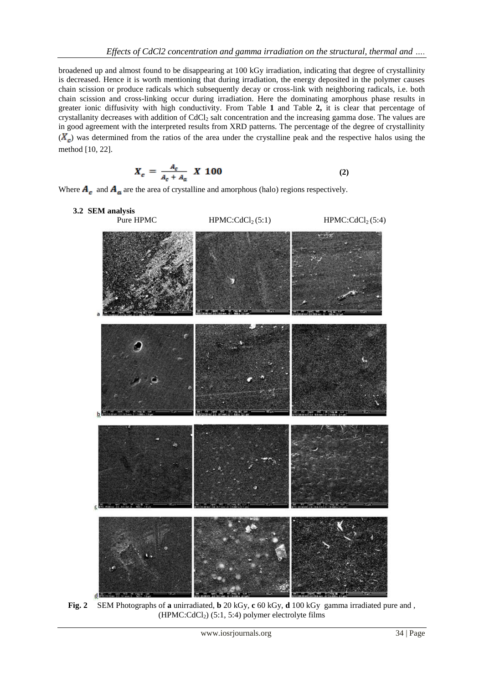broadened up and almost found to be disappearing at 100 kGy irradiation, indicating that degree of crystallinity is decreased. Hence it is worth mentioning that during irradiation, the energy deposited in the polymer causes chain scission or produce radicals which subsequently decay or cross-link with neighboring radicals, i.e. both chain scission and cross-linking occur during irradiation. Here the dominating amorphous phase results in greater ionic diffusivity with high conductivity. From Table **1** and Table **2,** it is clear that percentage of crystallanity decreases with addition of CdCl<sub>2</sub> salt concentration and the increasing gamma dose. The values are in good agreement with the interpreted results from XRD patterns. The percentage of the degree of crystallinity  $(X_{\rm c})$  was determined from the ratios of the area under the crystalline peak and the respective halos using the method [10, 22].

$$
X_c = \frac{A_c}{A_c + A_a} \, X \, 100 \tag{2}
$$

Where  $A_c$  and  $A_a$  are the area of crystalline and amorphous (halo) regions respectively.



**Fig. 2** SEM Photographs of **a** unirradiated, **b** 20 kGy, **c** 60 kGy, **d** 100 kGy gamma irradiated pure and ,  $(HPMC:CdCl<sub>2</sub>)$  (5:1, 5:4) polymer electrolyte films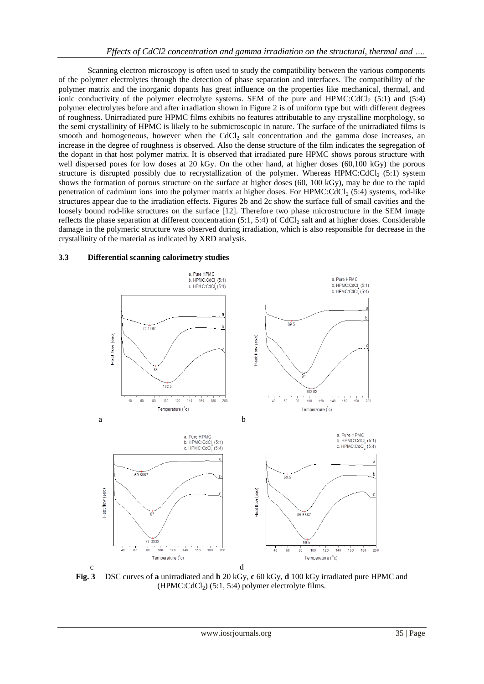Scanning electron microscopy is often used to study the compatibility between the various components of the polymer electrolytes through the detection of phase separation and interfaces. The compatibility of the polymer matrix and the inorganic dopants has great influence on the properties like mechanical, thermal, and ionic conductivity of the polymer electrolyte systems. SEM of the pure and HPMC:CdCl<sub>2</sub> (5:1) and (5:4) polymer electrolytes before and after irradiation shown in Figure 2 is of uniform type but with different degrees of roughness. Unirradiated pure HPMC films exhibits no features attributable to any crystalline morphology, so the semi crystallinity of HPMC is likely to be submicroscopic in nature. The surface of the unirradiated films is smooth and homogeneous, however when the CdCl<sub>2</sub> salt concentration and the gamma dose increases, an increase in the degree of roughness is observed. Also the dense structure of the film indicates the segregation of the dopant in that host polymer matrix. It is observed that irradiated pure HPMC shows porous structure with well dispersed pores for low doses at 20 kGy. On the other hand, at higher doses (60,100 kGy) the porous structure is disrupted possibly due to recrystallization of the polymer. Whereas HPMC: $CdCl<sub>2</sub>$  (5:1) system shows the formation of porous structure on the surface at higher doses (60, 100 kGy), may be due to the rapid penetration of cadmium ions into the polymer matrix at higher doses. For HPMC:CdCl<sub>2</sub> (5:4) systems, rod-like structures appear due to the irradiation effects. Figures 2b and 2c show the surface full of small cavities and the loosely bound rod-like structures on the surface [12]. Therefore two phase microstructure in the SEM image reflects the phase separation at different concentration  $(5:1, 5:4)$  of CdCl<sub>2</sub> salt and at higher doses. Considerable damage in the polymeric structure was observed during irradiation, which is also responsible for decrease in the crystallinity of the material as indicated by XRD analysis.

#### **3.3 Differential scanning calorimetry studies**



**Fig. 3** DSC curves of **a** unirradiated and **b** 20 kGy, **c** 60 kGy, **d** 100 kGy irradiated pure HPMC and  $(HPMC:CdCl<sub>2</sub>)$  (5:1, 5:4) polymer electrolyte films.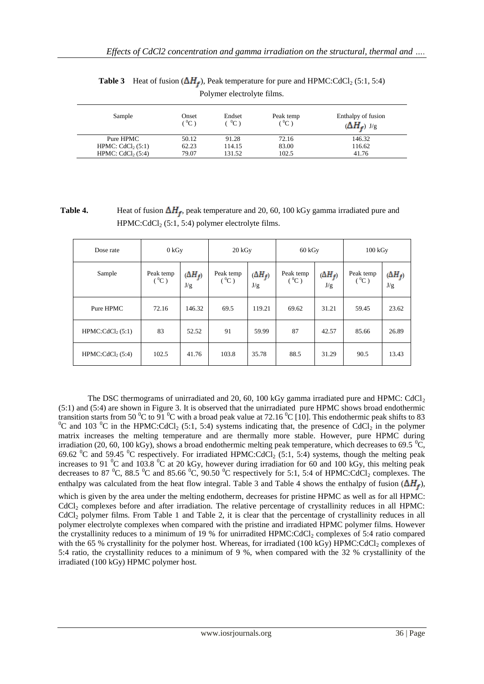| Sample                        | Onset<br>$^{\prime}$ $^0$ C $^{\prime}$ | Endset<br>$^0C$ | Peak temp<br>$^{\circ}$ °C) | Enthalpy of fusion<br>$(\Delta H_f)$ J/g |
|-------------------------------|-----------------------------------------|-----------------|-----------------------------|------------------------------------------|
| Pure HPMC                     | 50.12                                   | 91.28           | 72.16                       | 146.32                                   |
| HPMC: CdCl <sub>2</sub> (5:1) | 62.23                                   | 114.15          | 83.00                       | 116.62                                   |
| HPMC: $CdCl2(5:4)$            | 79.07                                   | 131.52          | 102.5                       | 41.76                                    |

**Table 3** Heat of fusion  $(\Delta H_f)$ , Peak temperature for pure and HPMC:CdCl<sub>2</sub> (5:1, 5:4) Polymer electrolyte films.

**Table 4.** Heat of fusion  $\Delta H_f$ , peak temperature and 20, 60, 100 kGy gamma irradiated pure and  $HPMC:CdCl<sub>2</sub>(5:1, 5:4)$  polymer electrolyte films.

| Dose rate                    |                      | 0 kGv                 |                      | 20 kGy                | 60 kGy               |                       | 100 kGv              |                       |
|------------------------------|----------------------|-----------------------|----------------------|-----------------------|----------------------|-----------------------|----------------------|-----------------------|
| Sample                       | Peak temp<br>$(^0C)$ | $(\Delta H_f)$<br>J/g | Peak temp<br>$(^0C)$ | $(\Delta H_f)$<br>J/g | Peak temp<br>$(^0C)$ | $(\Delta H_f)$<br>J/g | Peak temp<br>$(^0C)$ | $(\Delta H_f)$<br>J/g |
| Pure HPMC                    | 72.16                | 146.32                | 69.5                 | 119.21                | 69.62                | 31.21                 | 59.45                | 23.62                 |
| HPMC:CdCl <sub>2</sub> (5:1) | 83                   | 52.52                 | 91                   | 59.99                 | 87                   | 42.57                 | 85.66                | 26.89                 |
| HPMC:CdCl <sub>2</sub> (5:4) | 102.5                | 41.76                 | 103.8                | 35.78                 | 88.5                 | 31.29                 | 90.5                 | 13.43                 |

The DSC thermograms of unirradiated and 20, 60, 100 kGy gamma irradiated pure and HPMC: CdCl<sub>2</sub> (5:1) and (5:4) are shown in Figure 3. It is observed that the unirradiated pure HPMC shows broad endothermic transition starts from 50  $\rm{^0C}$  to 91  $\rm{^0C}$  with a broad peak value at 72.16  $\rm{^0C}$  [10]. This endothermic peak shifts to 83 <sup>0</sup>C and 103 <sup>0</sup>C in the HPMC:CdCl<sub>2</sub> (5:1, 5:4) systems indicating that, the presence of CdCl<sub>2</sub> in the polymer matrix increases the melting temperature and are thermally more stable. However, pure HPMC during irradiation (20, 60, 100 kGy), shows a broad endothermic melting peak temperature, which decreases to 69.5  $\degree$ C, 69.62 <sup>0</sup>C and 59.45 <sup>0</sup>C respectively. For irradiated HPMC:CdCl<sub>2</sub> (5:1, 5:4) systems, though the melting peak increases to 91  $^{0}$ C and 103.8  $^{0}$ C at 20 kGy, however during irradiation for 60 and 100 kGy, this melting peak decreases to 87  $^0C$ , 88.5  $^0C$  and 85.66  $^0C$ , 90.50  $^0C$  respectively for 5:1, 5:4 of HPMC:CdCl<sub>2</sub> complexes. The enthalpy was calculated from the heat flow integral. Table 3 and Table 4 shows the enthalpy of fusion  $(\Delta H_f)$ ,

which is given by the area under the melting endotherm, decreases for pristine HPMC as well as for all HPMC: CdCl<sub>2</sub> complexes before and after irradiation. The relative percentage of crystallinity reduces in all HPMC:  $CdCl<sub>2</sub>$  polymer films. From Table 1 and Table 2, it is clear that the percentage of crystallinity reduces in all polymer electrolyte complexes when compared with the pristine and irradiated HPMC polymer films. However the crystallinity reduces to a minimum of 19 % for unirradited HPMC:CdCl<sub>2</sub> complexes of 5:4 ratio compared with the 65 % crystallinity for the polymer host. Whereas, for irradiated (100 kGy) HPMC:CdCl<sub>2</sub> complexes of 5:4 ratio, the crystallinity reduces to a minimum of 9 %, when compared with the 32 % crystallinity of the irradiated (100 kGy) HPMC polymer host.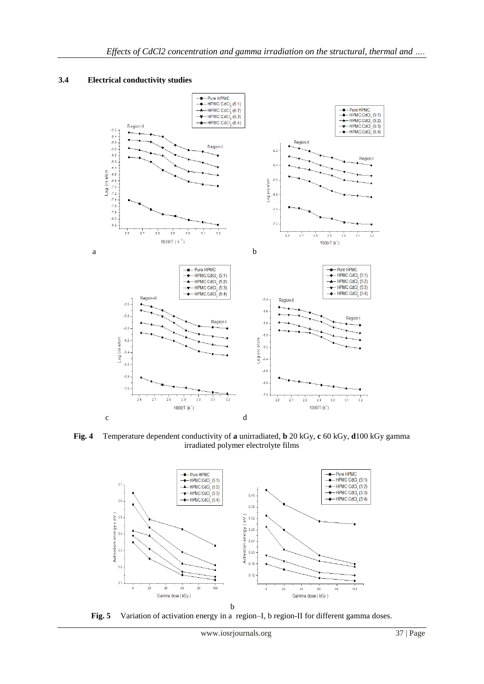#### **3.4 Electrical conductivity studies**



**Fig. 4** Temperature dependent conductivity of **a** unirradiated, **b** 20 kGy, **c** 60 kGy, **d**100 kGy gamma irradiated polymer electrolyte films



**Fig. 5** Variation of activation energy in a region–I, b region-II for different gamma doses.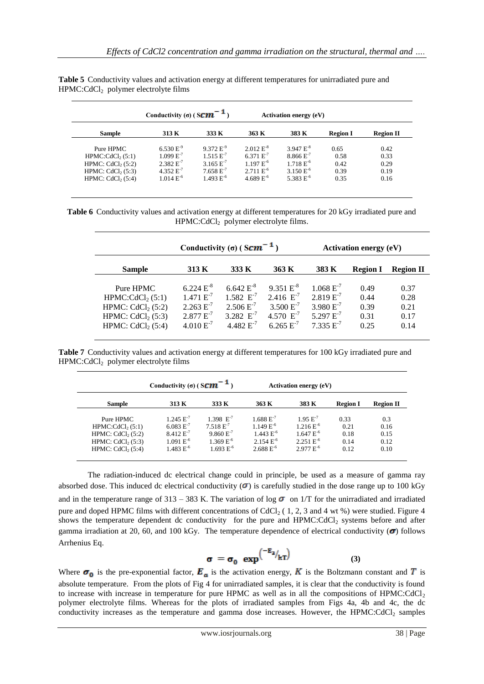| Conductivity ( $\sigma$ ) (S <b>CM</b> <sup>-1</sup><br><b>Activation energy (eV)</b> |                |                |                |                |                 |                  |  |
|---------------------------------------------------------------------------------------|----------------|----------------|----------------|----------------|-----------------|------------------|--|
| <b>Sample</b>                                                                         | 313 K          | 333 K          | 363 K          | 383 K          | <b>Region I</b> | <b>Region II</b> |  |
| Pure HPMC                                                                             | $6.530 E^{-9}$ | $9.372 E^{-9}$ | $2.012 E^{-8}$ | $3.947 E^{-8}$ | 0.65            | 0.42             |  |
| HPMC:CdCl <sub>2</sub> (5:1)                                                          | $1.099 E^{-7}$ | $1.515 E^{-7}$ | 6.371 $E^{-7}$ | $8.866 E^{-7}$ | 0.58            | 0.33             |  |
| HPMC: $CdCl2(5:2)$                                                                    | $2.382 E^{-7}$ | 3.165 $E^{-7}$ | $1.197 E^{-6}$ | $1.718 E^{-6}$ | 0.42            | 0.29             |  |
| HPMC: $CdCl2(5:3)$                                                                    | 4.352 $E^{-7}$ | $7.658 E^{-7}$ | $2.711 E^{-6}$ | $3.150 E^{-6}$ | 0.39            | 0.19             |  |
| HPMC: $CdCl2(5:4)$                                                                    | $1.014 E^{-6}$ | $1.493 E^{-6}$ | 4.689 $E^{-6}$ | 5.383 $E^{-6}$ | 0.35            | 0.16             |  |

**Table 5** Conductivity values and activation energy at different temperatures for unirradiated pure and HPMC:CdCl2 polymer electrolyte films

**Table 6** Conductivity values and activation energy at different temperatures for 20 kGy irradiated pure and HPMC:CdCl<sub>2</sub> polymer electrolyte films.

|                                                                                                               |                                                                                        | Conductivity ( $\sigma$ ) (Scm <sup>-1</sup> )                                         |                                                                                        | <b>Activation energy (eV)</b>                                                          |                                      |                                      |  |
|---------------------------------------------------------------------------------------------------------------|----------------------------------------------------------------------------------------|----------------------------------------------------------------------------------------|----------------------------------------------------------------------------------------|----------------------------------------------------------------------------------------|--------------------------------------|--------------------------------------|--|
| <b>Sample</b>                                                                                                 | 313 K                                                                                  | 333 K                                                                                  | 363 K                                                                                  | 383 K                                                                                  | <b>Region I</b>                      | <b>Region II</b>                     |  |
| Pure HPMC<br>HPMC:CdCl <sub>2</sub> $(5:1)$<br>HPMC: $CdCl2(5:2)$<br>HPMC: $CdCl2(5:3)$<br>HPMC: $CdCl2(5:4)$ | $6.224 E^{-8}$<br>$1.471 E^{-7}$<br>$2.263 E^{-7}$<br>$2.877 E^{-7}$<br>$4.010 E^{-7}$ | $6.642 E^{-8}$<br>$1.582 E^{-7}$<br>$2.506 E^{-7}$<br>3.282 $E^{-7}$<br>$4.482 E^{-7}$ | $9.351 E^{-8}$<br>2.416 $E^{-7}$<br>$3.500 E^{-7}$<br>4.570 $E^{-7}$<br>$6.265 E^{-7}$ | $1.068 E^{-7}$<br>$2.819 E^{-7}$<br>$3.980 E^{-7}$<br>5.297 $E^{-7}$<br>$7.335 E^{-7}$ | 0.49<br>0.44<br>0.39<br>0.31<br>0.25 | 0.37<br>0.28<br>0.21<br>0.17<br>0.14 |  |

**Table 7** Conductivity values and activation energy at different temperatures for 100 kGy irradiated pure and  $HPMC:CdCl<sub>2</sub>$  polymer electrolyte films

|                              | Conductivity ( $\sigma$ ) (S <b>CM</b> <sup>-1</sup> |                  | <b>Activation energy (eV)</b> |                |                 |                  |
|------------------------------|------------------------------------------------------|------------------|-------------------------------|----------------|-----------------|------------------|
| <b>Sample</b>                | 313 K                                                | 333 K            | 363 K                         | 383 K          | <b>Region I</b> | <b>Region II</b> |
| Pure HPMC                    | $1.245 E^{-7}$                                       | $1.398$ $E^{-7}$ | $1.688 E^{-7}$                | $1.95 E^{-7}$  | 0.33            | 0.3              |
| HPMC:CdCl <sub>2</sub> (5:1) | $6.083 E^{-7}$                                       | $7.518 E^{7}$    | $1.149 E^{-6}$                | $1.216 E^{-6}$ | 0.21            | 0.16             |
| HPMC: $CdCl2(5:2)$           | $8.412 E^{-7}$                                       | $9.860 E^{-7}$   | $1.443 E^{-6}$                | $1.647 E^{-6}$ | 0.18            | 0.15             |
| HPMC: $CdCl2(5:3)$           | $1.091 E^{-6}$                                       | $1.369 E^{-6}$   | $2.154 E^{-6}$                | $2.251 E^{-6}$ | 0.14            | 0.12             |
| HPMC: $CdCl2(5:4)$           | $1.483 E^{-6}$                                       | $1.693 E^{-6}$   | $2.688 E^{-6}$                | $2.977 E^{-6}$ | 0.12            | 0.10             |

The radiation-induced dc electrical change could in principle, be used as a measure of gamma ray absorbed dose. This induced dc electrical conductivity  $(\sigma)$  is carefully studied in the dose range up to 100 kGy and in the temperature range of 313 – 383 K. The variation of log  $\sigma$  on 1/T for the unirradiated and irradiated pure and doped HPMC films with different concentrations of CdCl<sub>2</sub> (1, 2, 3 and 4 wt %) were studied. Figure 4 shows the temperature dependent dc conductivity for the pure and HPMC:CdCl<sub>2</sub> systems before and after gamma irradiation at 20, 60, and 100 kGy. The temperature dependence of electrical conductivity  $(\sigma)$  follows Arrhenius Eq.

$$
\sigma = \sigma_0 \exp^{\left(-E_2\right)}kT}
$$
 (3)

Where  $\sigma_0$  is the pre-exponential factor,  $\vec{E}_a$  is the activation energy,  $\vec{K}$  is the Boltzmann constant and  $\vec{T}$  is absolute temperature. From the plots of Fig 4 for unirradiated samples, it is clear that the conductivity is found to increase with increase in temperature for pure HPMC as well as in all the compositions of  $HPMC:CdCl<sub>2</sub>$ polymer electrolyte films. Whereas for the plots of irradiated samples from Figs 4a, 4b and 4c, the dc conductivity increases as the temperature and gamma dose increases. However, the HPMC: $CdCl<sub>2</sub>$  samples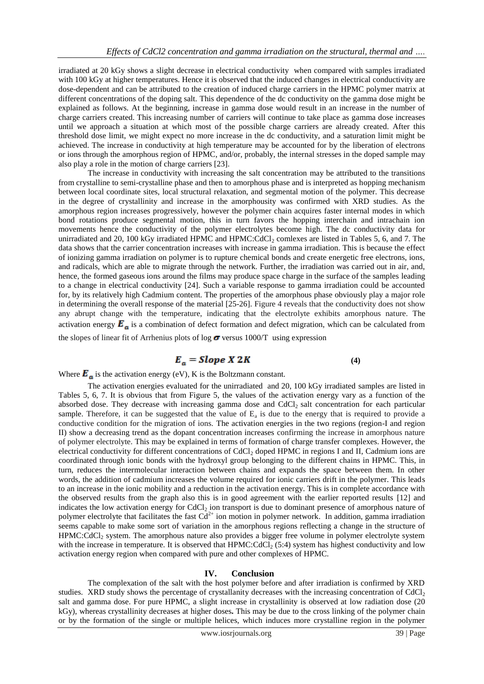irradiated at 20 kGy shows a slight decrease in electrical conductivity when compared with samples irradiated with 100 kGy at higher temperatures. Hence it is observed that the induced changes in electrical conductivity are dose-dependent and can be attributed to the creation of induced charge carriers in the HPMC polymer matrix at different concentrations of the doping salt. This dependence of the dc conductivity on the gamma dose might be explained as follows. At the beginning, increase in gamma dose would result in an increase in the number of charge carriers created. This increasing number of carriers will continue to take place as gamma dose increases until we approach a situation at which most of the possible charge carriers are already created. After this threshold dose limit, we might expect no more increase in the dc conductivity, and a saturation limit might be achieved. The increase in conductivity at high temperature may be accounted for by the liberation of electrons or ions through the amorphous region of HPMC, and/or, probably, the internal stresses in the doped sample may also play a role in the motion of charge carriers [23].

The increase in conductivity with increasing the salt concentration may be attributed to the transitions from crystalline to semi-crystalline phase and then to amorphous phase and is interpreted as hopping mechanism between local coordinate sites, local structural relaxation, and segmental motion of the polymer. This decrease in the degree of crystallinity and increase in the amorphousity was confirmed with XRD studies. As the amorphous region increases progressively, however the polymer chain acquires faster internal modes in which bond rotations produce segmental motion, this in turn favors the hopping interchain and intrachain ion movements hence the conductivity of the polymer electrolytes become high. The dc conductivity data for unirradiated and 20, 100 kGy irradiated HPMC and HPMC:CdCl<sub>2</sub> comlexes are listed in Tables 5, 6, and 7. The data shows that the carrier concentration increases with increase in gamma irradiation. This is because the effect of ionizing gamma irradiation on polymer is to rupture chemical bonds and create energetic free electrons, ions, and radicals, which are able to migrate through the network. Further, the irradiation was carried out in air, and, hence, the formed gaseous ions around the films may produce space charge in the surface of the samples leading to a change in electrical conductivity [24]. Such a variable response to gamma irradiation could be accounted for, by its relatively high Cadmium content. The properties of the amorphous phase obviously play a major role in determining the overall response of the material [25-26]. Figure 4 reveals that the conductivity does not show any abrupt change with the temperature, indicating that the electrolyte exhibits amorphous nature. The activation energy  $\mathbf{E}_n$  is a combination of defect formation and defect migration, which can be calculated from

the slopes of linear fit of Arrhenius plots of log  $\sigma$  versus 1000/T using expression

# **(4)**

Where  $\mathbf{E}_{a}$  is the activation energy (eV), K is the Boltzmann constant.

The activation energies evaluated for the unirradiated and 20, 100 kGy irradiated samples are listed in Tables 5, 6, 7. It is obvious that from Figure 5, the values of the activation energy vary as a function of the absorbed dose. They decrease with increasing gamma dose and CdCl<sub>2</sub> salt concentration for each particular sample. Therefore, it can be suggested that the value of  $E_a$  is due to the energy that is required to provide a conductive condition for the migration of ions. The activation energies in the two regions (region-I and region II) show a decreasing trend as the dopant concentration increases confirming the increase in amorphous nature of polymer electrolyte. This may be explained in terms of formation of charge transfer complexes. However, the electrical conductivity for different concentrations of CdCl<sub>2</sub> doped HPMC in regions I and II, Cadmium ions are coordinated through ionic bonds with the hydroxyl group belonging to the different chains in HPMC. This, in turn, reduces the intermolecular interaction between chains and expands the space between them. In other words, the addition of cadmium increases the volume required for ionic carriers drift in the polymer. This leads to an increase in the ionic mobility and a reduction in the activation energy. This is in complete accordance with the observed results from the graph also this is in good agreement with the earlier reported results [12] and indicates the low activation energy for CdCl<sub>2</sub> ion transport is due to dominant presence of amorphous nature of polymer electrolyte that facilitates the fast  $Cd^{2+}$  ion motion in polymer network. In addition, gamma irradiation seems capable to make some sort of variation in the amorphous regions reflecting a change in the structure of  $HPMC:CdCl<sub>2</sub>$  system. The amorphous nature also provides a bigger free volume in polymer electrolyte system with the increase in temperature. It is observed that  $HPMC:CdCl<sub>2</sub>(5:4)$  system has highest conductivity and low activation energy region when compared with pure and other complexes of HPMC.

#### **IV. Conclusion**

The complexation of the salt with the host polymer before and after irradiation is confirmed by XRD studies. XRD study shows the percentage of crystallanity decreases with the increasing concentration of CdCl<sub>2</sub> salt and gamma dose. For pure HPMC, a slight increase in crystallinity is observed at low radiation dose (20 kGy), whereas crystallinity decreases at higher doses**.** This may be due to the cross linking of the polymer chain or by the formation of the single or multiple helices, which induces more crystalline region in the polymer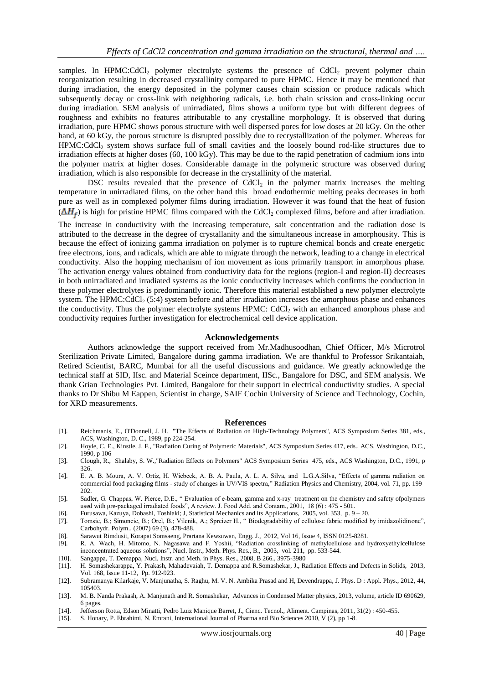samples. In HPMC:CdCl<sub>2</sub> polymer electrolyte systems the presence of CdCl<sub>2</sub> prevent polymer chain reorganization resulting in decreased crystallinity compared to pure HPMC. Hence it may be mentioned that during irradiation, the energy deposited in the polymer causes chain scission or produce radicals which subsequently decay or cross-link with neighboring radicals, i.e. both chain scission and cross-linking occur during irradiation. SEM analysis of unirradiated, films shows a uniform type but with different degrees of roughness and exhibits no features attributable to any crystalline morphology. It is observed that during irradiation, pure HPMC shows porous structure with well dispersed pores for low doses at 20 kGy. On the other hand, at 60 kGy, the porous structure is disrupted possibly due to recrystallization of the polymer. Whereas for HPMC:CdCl<sup>2</sup> system shows surface full of small cavities and the loosely bound rod-like structures due to irradiation effects at higher doses (60, 100 kGy). This may be due to the rapid penetration of cadmium ions into the polymer matrix at higher doses. Considerable damage in the polymeric structure was observed during irradiation, which is also responsible for decrease in the crystallinity of the material.

DSC results revealed that the presence of  $CdCl<sub>2</sub>$  in the polymer matrix increases the melting temperature in unirradiated films, on the other hand this broad endothermic melting peaks decreases in both pure as well as in complexed polymer films during irradiation. However it was found that the heat of fusion  $(\Delta H_{\epsilon})$  is high for pristine HPMC films compared with the CdCl<sub>2</sub> complexed films, before and after irradiation.

The increase in conductivity with the increasing temperature, salt concentration and the radiation dose is attributed to the decrease in the degree of crystallanity and the simultaneous increase in amorphousity. This is because the effect of ionizing gamma irradiation on polymer is to rupture chemical bonds and create energetic free electrons, ions, and radicals, which are able to migrate through the network, leading to a change in electrical conductivity. Also the hopping mechanism of ion movement as ions primarily transport in amorphous phase. The activation energy values obtained from conductivity data for the regions (region-I and region-II) decreases in both unirradiated and irradiated systems as the ionic conductivity increases which confirms the conduction in these polymer electrolytes is predominantly ionic. Therefore this material established a new polymer electrolyte system. The HPMC: $CdCl<sub>2</sub>$  (5:4) system before and after irradiation increases the amorphous phase and enhances the conductivity. Thus the polymer electrolyte systems HPMC: CdCl<sub>2</sub> with an enhanced amorphous phase and conductivity requires further investigation for electrochemical cell device application.

#### **Acknowledgements**

Authors acknowledge the support received from Mr.Madhusoodhan, Chief Officer, M/s Microtrol Sterilization Private Limited, Bangalore during gamma irradiation. We are thankful to Professor Srikantaiah, Retired Scientist, BARC, Mumbai for all the useful discussions and guidance. We greatly acknowledge the technical staff at SID, IIsc. and Material Sceince department, IISc., Bangalore for DSC, and SEM analysis. We thank Grian Technologies Pvt. Limited, Bangalore for their support in electrical conductivity studies. A special thanks to Dr Shibu M Eappen, Scientist in charge, SAIF Cochin University of Science and Technology, Cochin, for XRD measurements.

#### **References**

- [1]. Reichmanis, E., O'Donnell, J. H. "The Effects of Radiation on High-Technology Polymers", ACS Symposium Series 381, eds., ACS, Washington, D. C., 1989, pp 224-254.
- [2]. Hoyle, C. E., Kinstle, J. F., "Radiation Curing of Polymeric Materials", ACS Symposium Series 417, eds., ACS, Washington, D.C., 1990, p 106
- [3]. Clough, R., Shalaby, S. W.,"Radiation Effects on Polymers" ACS Symposium Series 475, eds., ACS Washington, D.C., 1991, p 326.
- [4]. E. A. B. Moura, A. V. Ortiz, H. Wiebeck, A. B. A. Paula, A. L. A. Silva, and L.G.A.Silva, "Effects of gamma radiation on commercial food packaging films - study of changes in UV/VIS spectra," Radiation Physics and Chemistry, 2004, vol. 71, pp. 199– 202.
- [5]. Sadler, G. Chappas, W. Pierce, D.E., " Evaluation of e-beam, gamma and x-ray treatment on the chemistry and safety ofpolymers used with pre-packaged irradiated foods", A review. J. Food Add. and Contam., 2001, 18 (6) : 475 - 501.
- [6]. Furusawa, Kazuya, Dobashi, Toshiaki; J, Statistical Mechanics and its Applications, 2005, vol. 353, p. 9 20.
- [7]. Tomsic, B.; Simoncic, B.; Orel, B.; Vilcnik, A.; Spreizer H., " Biodegradability of cellulose fabric modified by imidazolidinone", Carbohydr. Polym., (2007) 69 (3), 478-488.
- [8]. Sarawut Rimdusit, Korapat Somsaeng, Prartana Kewsuwan, Engg. J., 2012, Vol 16, Issue 4, ISSN 0125-8281.
- [9]. R. A. Wach, H. Mitomo, N. Nagasawa and F. Yoshii, "Radiation crosslinking of methylcellulose and hydroxyethylcellulose inconcentrated aqueous solutions", Nucl. Instr., Meth. Phys. Res., B., 2003, vol. 211, pp. 533-544.
- [10]. Sangappa, T. Demappa, Nucl. Instr. and Meth. in Phys. Res., 2008, B 266., 3975-3980
- [11]. [H. Somashekarappa,](http://www.tandfonline.com/action/doSearch?action=runSearch&type=advanced&searchType=journal&result=true&prevSearch=%2Bauthorsfield%3A%28Somashekarappa%2C+H%29) [Y. Prakash,](http://www.tandfonline.com/action/doSearch?action=runSearch&type=advanced&searchType=journal&result=true&prevSearch=%2Bauthorsfield%3A%28Prakash%2C+Y%29) [Mahadevaiah,](http://www.tandfonline.com/action/doSearch?action=runSearch&type=advanced&searchType=journal&result=true&prevSearch=%2Bauthorsfield%3A%28Mahadevaiah%29) [T. Demappa](http://www.tandfonline.com/action/doSearch?action=runSearch&type=advanced&searchType=journal&result=true&prevSearch=%2Bauthorsfield%3A%28Demappa%2C+T%29) and [R.Somashekar,](http://www.tandfonline.com/action/doSearch?action=runSearch&type=advanced&searchType=journal&result=true&prevSearch=%2Bauthorsfield%3A%28Somashekar%2C+R%29) J., Radiation Effects and Defects in Solids, 2013, [Vol. 168,](http://www.tandfonline.com/loi/grad20?open=168#vol_168) [Issue 11-12,](http://www.tandfonline.com/toc/grad20/168/11-12) Pp. 912-923.
- [12]. Subramanya Kilarkaje, V. Manjunatha, S. Raghu, M. V. N. Ambika Prasad and H, Devendrappa, J. Phys. D : Appl. Phys., 2012, 44, 105403.
- [13]. M. B. Nanda Prakash, A. Manjunath and R. Somashekar, Advances in Condensed Matter physics, 2013, volume, article ID 690629, 6 pages.
- [14]. Jefferson Rotta, Edson Minatti, Pedro Luiz Manique Barret, J., Cienc. Tecnol., Aliment. Campinas, 2011, 31(2): 450-455.<br>[15]. S. Honary, P. Ebrahimi, N. Emrani, International Journal of Pharma and Bio Sciences 2010,
- S. Honary, P. Ebrahimi, N. Emrani, International Journal of Pharma and Bio Sciences 2010,  $\hat{V}$  (2), pp 1-8.